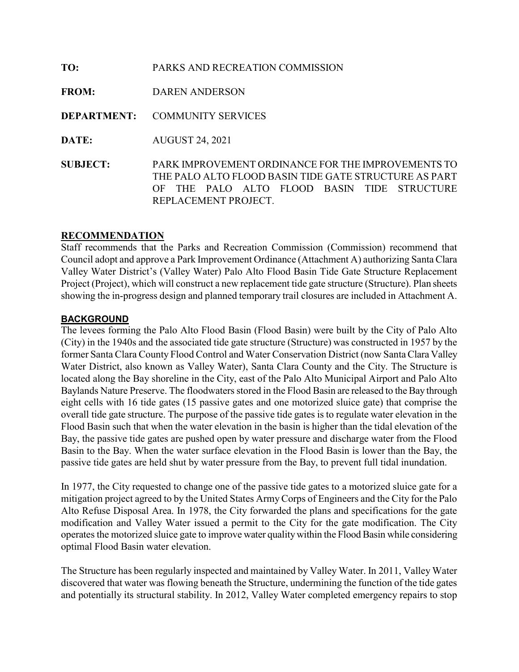| TO:             | PARKS AND RECREATION COMMISSION                                                                                                                                                        |
|-----------------|----------------------------------------------------------------------------------------------------------------------------------------------------------------------------------------|
| <b>FROM:</b>    | <b>DAREN ANDERSON</b>                                                                                                                                                                  |
|                 | <b>DEPARTMENT: COMMUNITY SERVICES</b>                                                                                                                                                  |
| DATE:           | <b>AUGUST 24, 2021</b>                                                                                                                                                                 |
| <b>SUBJECT:</b> | PARK IMPROVEMENT ORDINANCE FOR THE IMPROVEMENTS TO<br>THE PALO ALTO FLOOD BASIN TIDE GATE STRUCTURE AS PART<br>THE PALO ALTO FLOOD BASIN TIDE STRUCTURE<br>OF.<br>REPLACEMENT PROJECT. |

### RECOMMENDATION

Staff recommends that the Parks and Recreation Commission (Commission) recommend that Council adopt and approve a Park Improvement Ordinance (Attachment A) authorizing Santa Clara Valley Water District's (Valley Water) Palo Alto Flood Basin Tide Gate Structure Replacement Project (Project), which will construct a new replacement tide gate structure (Structure). Plan sheets showing the in-progress design and planned temporary trail closures are included in Attachment A.

#### BACKGROUND

The levees forming the Palo Alto Flood Basin (Flood Basin) were built by the City of Palo Alto (City) in the 1940s and the associated tide gate structure (Structure) was constructed in 1957 by the former Santa Clara County Flood Control and Water Conservation District (now Santa Clara Valley Water District, also known as Valley Water), Santa Clara County and the City. The Structure is located along the Bay shoreline in the City, east of the Palo Alto Municipal Airport and Palo Alto Baylands Nature Preserve. The floodwaters stored in the Flood Basin are released to the Bay through eight cells with 16 tide gates (15 passive gates and one motorized sluice gate) that comprise the overall tide gate structure. The purpose of the passive tide gates is to regulate water elevation in the Flood Basin such that when the water elevation in the basin is higher than the tidal elevation of the Bay, the passive tide gates are pushed open by water pressure and discharge water from the Flood Basin to the Bay. When the water surface elevation in the Flood Basin is lower than the Bay, the passive tide gates are held shut by water pressure from the Bay, to prevent full tidal inundation.

In 1977, the City requested to change one of the passive tide gates to a motorized sluice gate for a mitigation project agreed to by the United States Army Corps of Engineers and the City for the Palo Alto Refuse Disposal Area. In 1978, the City forwarded the plans and specifications for the gate modification and Valley Water issued a permit to the City for the gate modification. The City operates the motorized sluice gate to improve water quality within the Flood Basin while considering optimal Flood Basin water elevation.

The Structure has been regularly inspected and maintained by Valley Water. In 2011, Valley Water discovered that water was flowing beneath the Structure, undermining the function of the tide gates and potentially its structural stability. In 2012, Valley Water completed emergency repairs to stop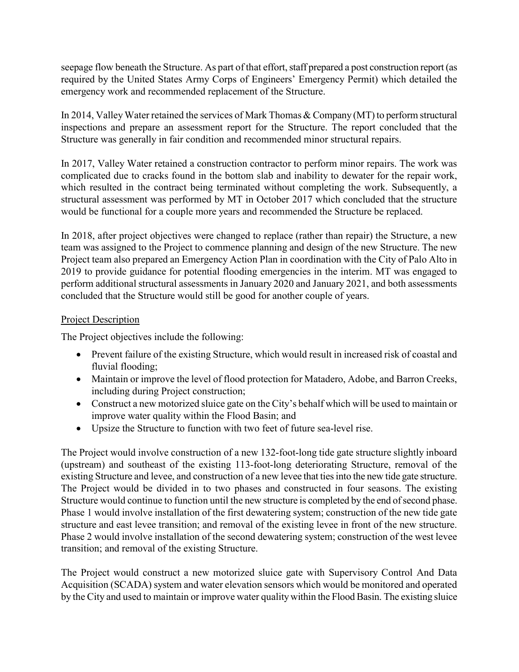seepage flow beneath the Structure. As part of that effort, staff prepared a post construction report (as required by the United States Army Corps of Engineers' Emergency Permit) which detailed the emergency work and recommended replacement of the Structure.

In 2014, Valley Water retained the services of Mark Thomas & Company (MT) to perform structural inspections and prepare an assessment report for the Structure. The report concluded that the Structure was generally in fair condition and recommended minor structural repairs.

In 2017, Valley Water retained a construction contractor to perform minor repairs. The work was complicated due to cracks found in the bottom slab and inability to dewater for the repair work, which resulted in the contract being terminated without completing the work. Subsequently, a structural assessment was performed by MT in October 2017 which concluded that the structure would be functional for a couple more years and recommended the Structure be replaced.

In 2018, after project objectives were changed to replace (rather than repair) the Structure, a new team was assigned to the Project to commence planning and design of the new Structure. The new Project team also prepared an Emergency Action Plan in coordination with the City of Palo Alto in 2019 to provide guidance for potential flooding emergencies in the interim. MT was engaged to perform additional structural assessments in January 2020 and January 2021, and both assessments concluded that the Structure would still be good for another couple of years.

## Project Description

The Project objectives include the following:

- Prevent failure of the existing Structure, which would result in increased risk of coastal and fluvial flooding;
- Maintain or improve the level of flood protection for Matadero, Adobe, and Barron Creeks, including during Project construction;
- Construct a new motorized sluice gate on the City's behalf which will be used to maintain or improve water quality within the Flood Basin; and
- Upsize the Structure to function with two feet of future sea-level rise.

The Project would involve construction of a new 132-foot-long tide gate structure slightly inboard (upstream) and southeast of the existing 113-foot-long deteriorating Structure, removal of the existing Structure and levee, and construction of a new levee that ties into the new tide gate structure. The Project would be divided in to two phases and constructed in four seasons. The existing Structure would continue to function until the new structure is completed by the end of second phase. Phase 1 would involve installation of the first dewatering system; construction of the new tide gate structure and east levee transition; and removal of the existing levee in front of the new structure. Phase 2 would involve installation of the second dewatering system; construction of the west levee transition; and removal of the existing Structure.

The Project would construct a new motorized sluice gate with Supervisory Control And Data Acquisition (SCADA) system and water elevation sensors which would be monitored and operated by the City and used to maintain or improve water quality within the Flood Basin. The existing sluice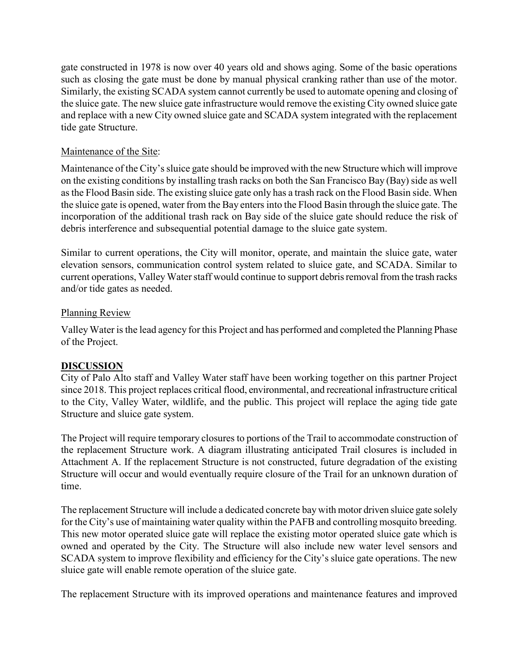gate constructed in 1978 is now over 40 years old and shows aging. Some of the basic operations such as closing the gate must be done by manual physical cranking rather than use of the motor. Similarly, the existing SCADA system cannot currently be used to automate opening and closing of the sluice gate. The new sluice gate infrastructure would remove the existing City owned sluice gate and replace with a new City owned sluice gate and SCADA system integrated with the replacement tide gate Structure.

## Maintenance of the Site:

Maintenance of the City's sluice gate should be improved with the new Structure which will improve on the existing conditions by installing trash racks on both the San Francisco Bay (Bay) side as well as the Flood Basin side. The existing sluice gate only has a trash rack on the Flood Basin side. When the sluice gate is opened, water from the Bay enters into the Flood Basin through the sluice gate. The incorporation of the additional trash rack on Bay side of the sluice gate should reduce the risk of debris interference and subsequential potential damage to the sluice gate system.

Similar to current operations, the City will monitor, operate, and maintain the sluice gate, water elevation sensors, communication control system related to sluice gate, and SCADA. Similar to current operations, Valley Water staff would continue to support debris removal from the trash racks and/or tide gates as needed.

## Planning Review

Valley Water is the lead agency for this Project and has performed and completed the Planning Phase of the Project.

# DISCUSSION

City of Palo Alto staff and Valley Water staff have been working together on this partner Project since 2018. This project replaces critical flood, environmental, and recreational infrastructure critical to the City, Valley Water, wildlife, and the public. This project will replace the aging tide gate Structure and sluice gate system.

The Project will require temporary closures to portions of the Trail to accommodate construction of the replacement Structure work. A diagram illustrating anticipated Trail closures is included in Attachment A. If the replacement Structure is not constructed, future degradation of the existing Structure will occur and would eventually require closure of the Trail for an unknown duration of time.

The replacement Structure will include a dedicated concrete bay with motor driven sluice gate solely for the City's use of maintaining water quality within the PAFB and controlling mosquito breeding. This new motor operated sluice gate will replace the existing motor operated sluice gate which is owned and operated by the City. The Structure will also include new water level sensors and SCADA system to improve flexibility and efficiency for the City's sluice gate operations. The new sluice gate will enable remote operation of the sluice gate.

The replacement Structure with its improved operations and maintenance features and improved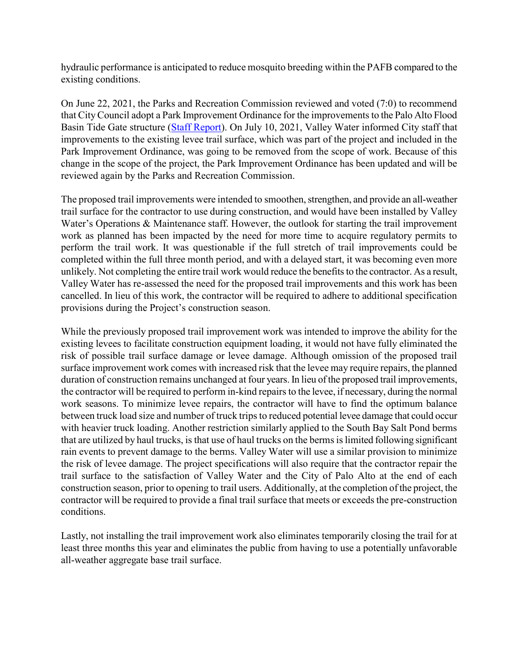hydraulic performance is anticipated to reduce mosquito breeding within the PAFB compared to the existing conditions.

On June 22, 2021, the Parks and Recreation Commission reviewed and voted (7:0) to recommend that City Council adopt a Park Improvement Ordinance for the improvements to the Palo Alto Flood Basin Tide Gate structure (Staff Report). On July 10, 2021, Valley Water informed City staff that improvements to the existing levee trail surface, which was part of the project and included in the Park Improvement Ordinance, was going to be removed from the scope of work. Because of this change in the scope of the project, the Park Improvement Ordinance has been updated and will be reviewed again by the Parks and Recreation Commission.

The proposed trail improvements were intended to smoothen, strengthen, and provide an all-weather trail surface for the contractor to use during construction, and would have been installed by Valley Water's Operations & Maintenance staff. However, the outlook for starting the trail improvement work as planned has been impacted by the need for more time to acquire regulatory permits to perform the trail work. It was questionable if the full stretch of trail improvements could be completed within the full three month period, and with a delayed start, it was becoming even more unlikely. Not completing the entire trail work would reduce the benefits to the contractor. As a result, Valley Water has re-assessed the need for the proposed trail improvements and this work has been cancelled. In lieu of this work, the contractor will be required to adhere to additional specification provisions during the Project's construction season.

While the previously proposed trail improvement work was intended to improve the ability for the existing levees to facilitate construction equipment loading, it would not have fully eliminated the risk of possible trail surface damage or levee damage. Although omission of the proposed trail surface improvement work comes with increased risk that the levee may require repairs, the planned duration of construction remains unchanged at four years. In lieu of the proposed trail improvements, the contractor will be required to perform in-kind repairs to the levee, if necessary, during the normal work seasons. To minimize levee repairs, the contractor will have to find the optimum balance between truck load size and number of truck trips to reduced potential levee damage that could occur with heavier truck loading. Another restriction similarly applied to the South Bay Salt Pond berms that are utilized by haul trucks, is that use of haul trucks on the berms is limited following significant rain events to prevent damage to the berms. Valley Water will use a similar provision to minimize the risk of levee damage. The project specifications will also require that the contractor repair the trail surface to the satisfaction of Valley Water and the City of Palo Alto at the end of each construction season, prior to opening to trail users. Additionally, at the completion of the project, the contractor will be required to provide a final trail surface that meets or exceeds the pre-construction conditions.

Lastly, not installing the trail improvement work also eliminates temporarily closing the trail for at least three months this year and eliminates the public from having to use a potentially unfavorable all-weather aggregate base trail surface.